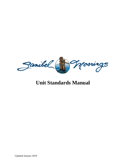

# **Unit Standards Manual**

Updated January 2019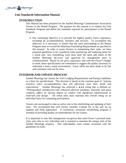

# **INTRODUCTION**

This Manual has been prepared for the Sanibel Moorings Condominium Association Owners in the Rental Program. The purpose for this manual is to explain the Unit Standards Program and define the standards required for participation in the Rental Program.

• Our continuing objective is to provide the highest quality Guest experience, including all accommodations, facilities, and services. To accomplish this objective, it is necessary to ensure that the units participating in the Rental Program meet or exceed the Minimum Furnishing Requirements as specified in this manual. In order to assist Owners in maintaining their units, we have prepared guidelines to be considered when purchasing and replacing items for a rental unit. Any remodeling work must meet the spirit and intent of the Sanibel Moorings By-Laws and approved by management prior to commencement. Based on our prior experience, and with the Owner's budget in mind, these specifications are formulated to suggest the quality necessary to withstand a heavy rental environment. Every effort has been made to be fair and consistent with our by-laws.

# **INTERIOR AND UPDATE PROCESS**

Sanibel Moorings has chosen the AAA Lodging Requirements and Rating Guidelines as a basis for specifications. This decision is based on the common goal of *"helping travelers select accommodations that will effectively meet their needs and expectations.*" Sanibel Moorings has achieved a  $\leftrightarrow \bullet$  rating that is defined as: "*Distinguished, multifaceted with enhanced physical attributes, amenities and guest comforts. Offers an obvious degree of comfort with significant enhancements to materials and design."* All rental units must maintain this overall rating on an individual basis for continuing participation.

Owners are encouraged to take an active role in the refurbishing and updating of their units. We recommend that each Owner carefully evaluate his or her unit for an updated and fresh appearance. A continuous, consistent refurbishing program is essential in providing quality accommodations for our Guests.

It is important to note that management recognizes that each Owner's personal taste, style, and color is very individual and is essential to maintain the unique style of the Sanibel Moorings property. This individuality must remain consistent with the guidelines set forth.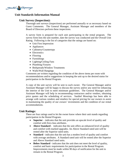

## **Unit Survey (Inspection):**

Thorough unit surveys (inspections) are performed annually or as necessary based on Guest Comments. The General Manager, Assistant Manager and members of the Board of Directors perform these inspections.

A survey form is prepared for each unit participating in the rental program. The survey form lists the unit number, date the survey was conducted and the Overall Unit Rating. Following is the list of categories that the ratings are based on:

- Unit First Impression
- Appliances
- Cabinetry/Countertops
- Electronics
- Flooring
- Furnishings
- Lighting/Ceiling Fans
- Plumbing Fixtures
- Bedspreads/Window Treatments
- Walls/Wall Hangings

Comments are written regarding the condition of the above items per room with recommendations and/or suggestions in keeping the unit up to the desired status for participation in the Rental Program.

A copy of the unit survey will be sent to each owner. The General Manager and/or Assistant Manager will be happy to discuss the survey and/or any need for enhancing the interior of the Unit to meet minimum guidelines. The General Manager and/or Assistant Manager will help in recommending contractors and/or vendors, obtaining price quotes and the scheduling of services. Sanibel Moorings has been able to arrange with various vendors and retailers for special pricing for our owners to assist in maintaining the quality of our owners' investments and the condition of our rental accommodations.

## **Unit Ratings:**

There are four ratings used to let the owner know where their unit stands regarding participation in the Rental Program.

- **Superior** indicates that the unit provides an upscale level of quality and comfort with first-class attributes.
- **Above Standard** indicates that the unit offers an enhanced level of quality and comfort with marked upgrades. An Above Standard rated unit will be rented after the Superior rated units.
- **Standard** indicates that the unit has a modest level of quality and comfort with average attributes. A Standard rated unit will be rented after the Superior and Above Standard rated units.
- **Below Standard** indicates that the unit does not meet the level of quality, comfort and basic requirements for participation in the Rental Program. Improvements must be made within 90 days of notification for the unit to remain in the Rental Program.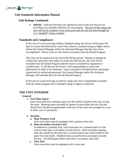

# **Unit Ratings Continued:**

• **Inferior** - indicates that there are significant areas in the unit that are not providing an acceptable reflection for our property. Because of this rating, the unit will not be available in the rental pool until the unit has been brought up to a "standard" rating or higher.

# **Standards and Compliance:**

In the case of a unit receiving a Below Standard rating, the Owner will be given 90 days to correct the deficiencies in the Unit, achieve a standard rating or higher and to inform the General Manager and/or the Assistant Manager that they have been accomplished. Failure to do so will result in exclusion from the Rental Program.

The Unit will be inspected at the end of the 90-day period. Should no attempt be evident that steps have been taken to correct the deficiencies, the Unit will be excluded from the Rental Program and the Owner so notified by registered or certified mail. It will then be the Owner's full responsibility to correct the deficiencies in order to be reinstated. Upon correction of all deficiencies and proper inspections by authorized personnel, the General Manager and/or the Assistant Manager will reinstate the Unit into the Rental Program.

In the case of a unit receiving an Inferior rating, the Unit is immediately excluded from the rental program until a Standard rating or higher is achieved.

# **THE UNIT INTERIOR**

## **General:**

## **1. Free Floor Space:**

Each room must have adequate space for the number of guests who may occupy the room. Meaning space provided for guests to move about the unit, the unit should have furniture proportionate to the size of the room and arranged in a way to allow ease of movement.

## **2. Security:**

## **a. Door-Primary Lock**

Each room door must be equipped with a primary door lock.

## **b. Door-Secondary Security Lock**

In addition to a primary lock, each room door to a common hall or to the exterior must have a secondary security device, which precludes opening from the outside by the room key or normal master key when locked by the guest from the inside.Deadbolt locks are preferred as secondary security devices. All sliding glass doors must have a secondary door lock.

## **c. View Port**

Each room door must be equipped with a view port.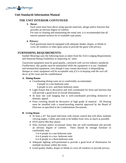

# **THE UNIT INTERIOR CONTUNUED**

# **3. Decor:**

Each room must have décor using upscale materials, design and/or function that provides an obvious degree of comfort.

For ease in cleaning and maintaining the rental unit, it is recommended that all interior painted surfaces be of washable type paints.

#### **4. Privacy:**

Each guestroom must be equipped with adequate shades, drapes, or blinds to cover all windows or other glass areas to provide the guest with privacy.

# **FURNISHING REQUIREMENTS:**

Sanibel Moorings uses the following basis as taken from the AAA Lodging Requirements and Diamond Rating Guidelines in inspecting its' units:

*Guestroom equipment must be good quality, consistent with current industry standards. Furthermore, this quality must be maintained while the equipment is in use. Outdated and mismatched equipment, even though it may remain functional, is disqualifying. Antique or rustic equipment will be acceptable only if it is in keeping with the over-all decor of the room and the establishment*

#### **A. Dining Room:**

- Coordinating dining room set to comfortably accommodate:
	- 4 people in a one-bedroom suite
		- 6 people in two- and three-bedroom suites
- Light fixture that is decorative and well coordinated for form and function that will provide a good level of overall illumination.
- At least one wall hanging that is well-coordinated providing distinctive or thematic appeal.
- Floor covering should be decorative of high grade of material. All flooring must be installed with a sound-proofing material approved by the Board of Directors as specified in the Condominium Documents.

## **B. Living Room**

- At least a 43" flat panel television with remote control that will allow multiple viewing angles. Cables and cords to be hidden from view as much as possible.
- DVD and/or Blu-Ray player.
- Sofa, loveseat and/or occasional chairs that are well-coordinated and provide an obvious degree of comfort. There should be enough furniture to comfortably seat:

2 to 4 people in a one-bedroom suite

4 to 6 people in a two- bedroom suite

6 to 8 people in a three-bedroom suite

- Adequate lighting well-positioned to provide a good level of illumination for multiple locations within the room.
- Good quality shades, drapes or blinds to cover all windows to provide privacy.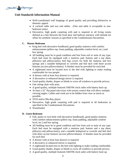

- Well-coordinated wall hangings of good quality and providing distinctive or thematic appeal.
- A cocktail table and two end tables. (One end table is acceptable in onebedroom units).
- Decorative, high grade carpeting with pad is required in all living rooms defined as a line between the front door and hallway entrance with latitude for offset for aesthetic reasons as specified in the Condominium Documents.

## **C. Master Bedroom**

- King bed with decorative headboard, good quality mattress with comfort enhancements (pillow top, foam padding, adjustable comfort level, etc.) and box spring.
- All bedding must be in good condition and free from soil or stain of any type. Each bed must be equipped with a mattress pad, bottom and a top sheet, pillow(s) and pillowcase(s), bed bug covers for both the mattress and box springs and a suitable bedspread or coverlet and bed skirt with three accent features (accent pillows/shams). A blanket must be provided for each bed.
- A nightstand must be located next to the bed with lighting to make reading comfortable for two people.
- A dresser with at least four drawers is required.
- A decorative or enhanced design mirror is required.
- Good quality shades, drapes or blinds to cover all windows to provide privacy.
- One sitting chair with arms.
- A good quality, multiple featured AM/FM clock radio with battery back up.
- At least a 32" flat panel television with remote control that will allow multiple viewing angles. Cables and cords are to be hidden from view as much as possible.
- DVD and/or Blu-Ray player
- Decorative, high grade carpeting with pad is required in all bedrooms as specified in the Condominium Documents.
- Wastebasket

# **D. Guest Bedroom**

- Full, queen or twin beds with decorative headboards, good quality mattress with comfort enhancements (pillow top, foam padding, adjustable comfort level, etc.) and box spring.
- All bedding must be in good condition and free from soil or stain of any type. Each bed must be equipped with a mattress pad, bottom and a top sheet, pillow(s) and pillowcase(s), and a suitable bedspread or coverlet and bed skirt with three accent features (accent pillows/shams). A blanket must be provided for each bed.
- A dresser with at least four drawers is required.
- A decorative or enhanced mirror is required.
- A nightstand located next to the bed with lighting to make reading comfortable.
- Good quality shades, drapes or blinds to cover all windows to provide privacy.
- A good quality, multiple featured AM/FM clock radio with battery back up.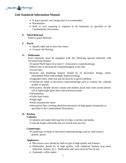

- If space permits, one sitting chair is recommended.
- Wastebasket
- Wall to wall carpeting is required in all bedrooms as specified in the Condominium Documents.

## **E. Third Bedroom**

Same as guest bedroom.

## **F. Porch**

- Quality table and at least four chairs.
- Ceramic tile flooring.

#### **G. Bathrooms**

Each bathroom must be equipped with the following upscale materials with increased functionality:

- •Counter/Shelf Space of at least 6' of decorative materials/design.
- •Mirror that is decoratively framed/designed at the sink.
- •Towel bars.
- Faucets and plumbing fixtures should be of decorative design, metal, untarnished finish with multiple features/settings.
- •Upgraded toilet, toilet seat and lid must be in good condition.
- •Tub/Shower made of decorative materials/design such as ceramic tile, cultured marble or granite.
- •Decorative, durable shower curtain and mildew proof liner with curved shower rod or lightweight glass door with aluminum frame.
- •Wastebasket
- Toilet bowl brush
- •Night light
- Wall mounted hair dryer
- •Decorative floor covering should be decorative of high grade of materials as specified in the Condominium Documents.

## **H. Kitchen**

#### **Cabinets:**

- Cabinets and inside shelving free of chips, scratches and marks.
- Upscale hinges and knobs that are tarnish and rust free.

#### **Countertops:**

•Countertops of made of decorative materials/design such as solid surface, granite, quartz.

#### **Appliances:**

- Microwave oven should be built-in type of high quality and features.
- Dishwasher should be of high quality, with enhanced features (e.g.-noise reduction, sanitize, etc.). Dishwasher and racks must be free of rust.
- Automatic coffee maker.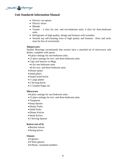

- Electric can opener
- Electric mixer
- Blender
- Toaster  $-2$  slice for one- and two-bedroom units, 4 slice for three-bedroom units.
- Refrigerator of high quality, design and features with icemaker
- Smooth top self-cleaning oven of high quality and features. Door and racks must be free of rust/tarnish.

#### **Dinnerware:**

Sanibel Moorings recommends that owners have a matched set of microwave safe dishes, complete with spares.

- 8 place settings for one-bedroom units.
- 12 place settings for two- and three-bedroom units.
- Cups and Saucers or Mugs
	- 4 for one-bedroom units
	- 8 for two- and three-bedroom units
- •Dinner plates
- Salad plates
- Soup/Cereal bowls
- 1 Large platter
- 2 Serving bowls
- 1 Creamer/Sugar set

#### **Silverware**

- 8 place settings for one-bedroom units.
- 12 place settings for two- and three-bedroom units.
- •Teaspoons
- Soup Spoons
- •Dinner Forks
- Salad Forks
- •Dinner Knives
- Steak Knives
- 2 Serving Spoons

#### **Knives (set of 6)**

- Butcher knives
- Paring knives

## **Glasses**

- 8 glasses
- 8 Wine glasses
- 8 Plastic, insulated tumblers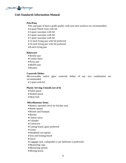

## **Pots/Pans**

Pots and pans of heavy grade quality with non-stick surfaces are recommended.

- 4-quart Dutch oven with lid
- 3-quart saucepan with lid
- 2-quart saucepan with lid
- 1-quart saucepan with lid
- 12-inch frying pan with lid preferred
- 10-inch frying pan with lid preferred
- 8-inch frying pan

#### **Bakeware**

- •Broiler pan
- •Cookie sheet
- Pizza pan
- •Muffin pan
- •Roaster

#### **Casserole Dishes**

Microwavable and/or glass casserole dishes of any size combination are recommended.

• 2 quart with lid

## **Plastic Serving Utensils (set of 6)**

- Solid spoon
- Slotted spoon
- •Meat fork

#### **Miscellaneous Items**

- •Battery operated clock for kitchen area
- •Bottle opener
- •Broom and Dustpan
- •Bucket
- Cheese slicer
- •Colander
- •Corkscrew
- •Cutting board, glass preferred
- •Grater
- •Handheld can opener
- Iron and Ironing board
- Juicer
- •Luggage rack, collapsible (1 per bedroom is preferred)
- •Measuring cups
- Measuring spoons
- •Mixing bowls